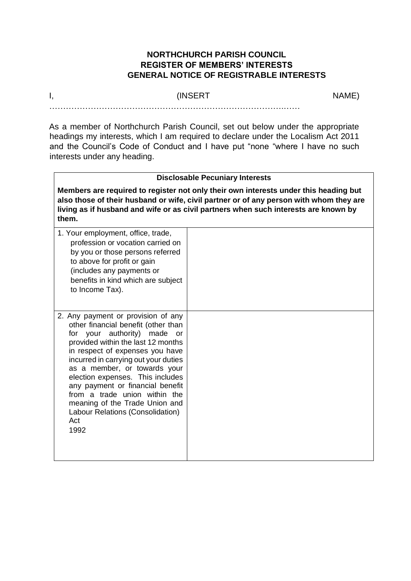## **NORTHCHURCH PARISH COUNCIL REGISTER OF MEMBERS' INTERESTS GENERAL NOTICE OF REGISTRABLE INTERESTS**

## I, the contract of the contract (INSERT the contract of the contract of the contract of the contract of the contract of the contract of the contract of the contract of the contract of the contract of the contract of the co

 $\mathcal{L}^{(n)}$ 

As a member of Northchurch Parish Council, set out below under the appropriate headings my interests, which I am required to declare under the Localism Act 2011 and the Council's Code of Conduct and I have put "none "where I have no such interests under any heading.

## **Disclosable Pecuniary Interests**

**Members are required to register not only their own interests under this heading but also those of their husband or wife, civil partner or of any person with whom they are living as if husband and wife or as civil partners when such interests are known by them.**

| 1. Your employment, office, trade,<br>profession or vocation carried on<br>by you or those persons referred<br>to above for profit or gain<br>(includes any payments or<br>benefits in kind which are subject<br>to Income Tax).                                                                                                                                                                                                                           |  |
|------------------------------------------------------------------------------------------------------------------------------------------------------------------------------------------------------------------------------------------------------------------------------------------------------------------------------------------------------------------------------------------------------------------------------------------------------------|--|
| 2. Any payment or provision of any<br>other financial benefit (other than<br>for your authority) made<br>or<br>provided within the last 12 months<br>in respect of expenses you have<br>incurred in carrying out your duties<br>as a member, or towards your<br>election expenses. This includes<br>any payment or financial benefit<br>from a trade union within the<br>meaning of the Trade Union and<br>Labour Relations (Consolidation)<br>Act<br>1992 |  |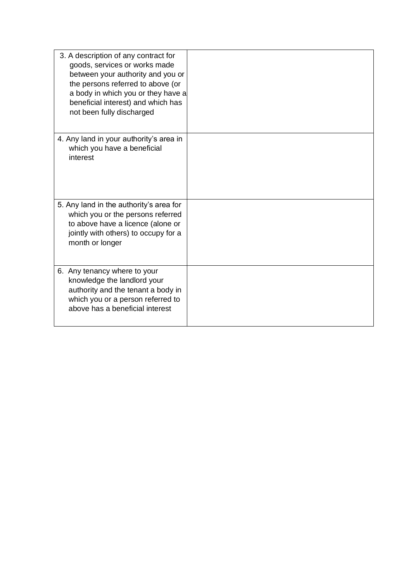| 3. A description of any contract for<br>goods, services or works made<br>between your authority and you or<br>the persons referred to above (or<br>a body in which you or they have a<br>beneficial interest) and which has<br>not been fully discharged |  |
|----------------------------------------------------------------------------------------------------------------------------------------------------------------------------------------------------------------------------------------------------------|--|
| 4. Any land in your authority's area in<br>which you have a beneficial<br>interest                                                                                                                                                                       |  |
| 5. Any land in the authority's area for<br>which you or the persons referred<br>to above have a licence (alone or<br>jointly with others) to occupy for a<br>month or longer                                                                             |  |
| 6. Any tenancy where to your<br>knowledge the landlord your<br>authority and the tenant a body in<br>which you or a person referred to<br>above has a beneficial interest                                                                                |  |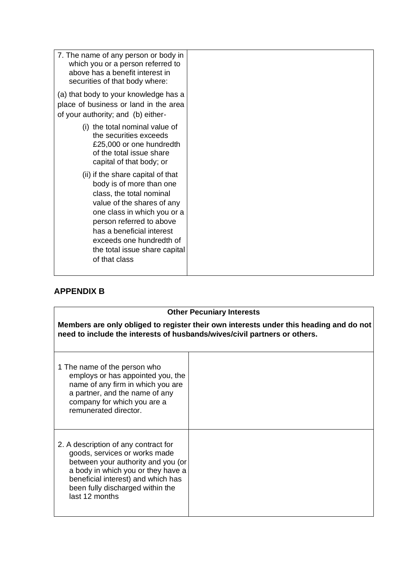| 7. The name of any person or body in<br>which you or a person referred to<br>above has a benefit interest in<br>securities of that body where:                                                                                                                                                |  |
|-----------------------------------------------------------------------------------------------------------------------------------------------------------------------------------------------------------------------------------------------------------------------------------------------|--|
| (a) that body to your knowledge has a<br>place of business or land in the area<br>of your authority; and (b) either-                                                                                                                                                                          |  |
| (i) the total nominal value of<br>the securities exceeds<br>£25,000 or one hundredth<br>of the total issue share<br>capital of that body; or                                                                                                                                                  |  |
| (ii) if the share capital of that<br>body is of more than one<br>class, the total nominal<br>value of the shares of any<br>one class in which you or a<br>person referred to above<br>has a beneficial interest<br>exceeds one hundredth of<br>the total issue share capital<br>of that class |  |

## **APPENDIX B**

| <b>Other Pecuniary Interests</b>                                                                                                                                                                                                              |  |  |  |
|-----------------------------------------------------------------------------------------------------------------------------------------------------------------------------------------------------------------------------------------------|--|--|--|
| Members are only obliged to register their own interests under this heading and do not<br>need to include the interests of husbands/wives/civil partners or others.                                                                           |  |  |  |
| 1 The name of the person who<br>employs or has appointed you, the<br>name of any firm in which you are<br>a partner, and the name of any<br>company for which you are a<br>remunerated director.                                              |  |  |  |
| 2. A description of any contract for<br>goods, services or works made<br>between your authority and you (or<br>a body in which you or they have a<br>beneficial interest) and which has<br>been fully discharged within the<br>last 12 months |  |  |  |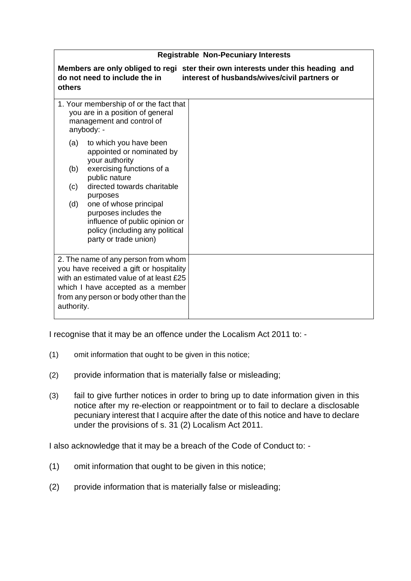| <b>Registrable Non-Pecuniary Interests</b>                                                                                                                                                                             |                                                                                                                                  |  |  |
|------------------------------------------------------------------------------------------------------------------------------------------------------------------------------------------------------------------------|----------------------------------------------------------------------------------------------------------------------------------|--|--|
| do not need to include the in<br>others                                                                                                                                                                                | Members are only obliged to regi ster their own interests under this heading and<br>interest of husbands/wives/civil partners or |  |  |
| 1. Your membership of or the fact that<br>you are in a position of general<br>management and control of<br>anybody: -                                                                                                  |                                                                                                                                  |  |  |
| to which you have been<br>(a)<br>appointed or nominated by<br>your authority                                                                                                                                           |                                                                                                                                  |  |  |
| exercising functions of a<br>(b)<br>public nature<br>directed towards charitable<br>(c)                                                                                                                                |                                                                                                                                  |  |  |
| purposes<br>one of whose principal<br>(d)<br>purposes includes the<br>influence of public opinion or<br>policy (including any political<br>party or trade union)                                                       |                                                                                                                                  |  |  |
| 2. The name of any person from whom<br>you have received a gift or hospitality<br>with an estimated value of at least £25<br>which I have accepted as a member<br>from any person or body other than the<br>authority. |                                                                                                                                  |  |  |

I recognise that it may be an offence under the Localism Act 2011 to: -

- (1) omit information that ought to be given in this notice;
- (2) provide information that is materially false or misleading;
- (3) fail to give further notices in order to bring up to date information given in this notice after my re-election or reappointment or to fail to declare a disclosable pecuniary interest that I acquire after the date of this notice and have to declare under the provisions of s. 31 (2) Localism Act 2011.

I also acknowledge that it may be a breach of the Code of Conduct to: -

- (1) omit information that ought to be given in this notice;
- (2) provide information that is materially false or misleading;